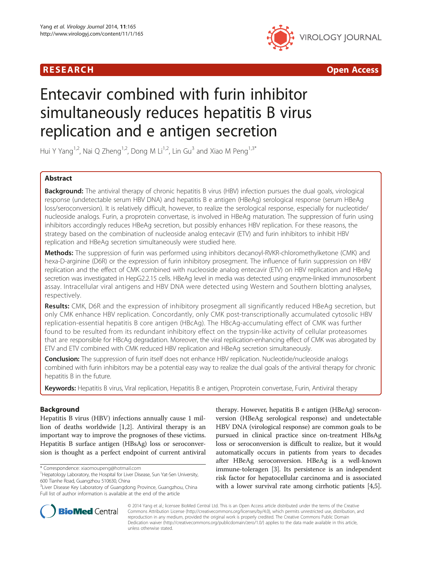

R E S EAR CH Open Access

# Entecavir combined with furin inhibitor simultaneously reduces hepatitis B virus replication and e antigen secretion

Hui Y Yang<sup>1,2</sup>, Nai Q Zheng<sup>1,2</sup>, Dong M Li<sup>1,2</sup>, Lin Gu<sup>3</sup> and Xiao M Peng<sup>1,3\*</sup>

# Abstract

Background: The antiviral therapy of chronic hepatitis B virus (HBV) infection pursues the dual goals, virological response (undetectable serum HBV DNA) and hepatitis B e antigen (HBeAg) serological response (serum HBeAg loss/seroconversion). It is relatively difficult, however, to realize the serological response, especially for nucleotide/ nucleoside analogs. Furin, a proprotein convertase, is involved in HBeAg maturation. The suppression of furin using inhibitors accordingly reduces HBeAg secretion, but possibly enhances HBV replication. For these reasons, the strategy based on the combination of nucleoside analog entecavir (ETV) and furin inhibitors to inhibit HBV replication and HBeAg secretion simultaneously were studied here.

Methods: The suppression of furin was performed using inhibitors decanoyl-RVKR-chloromethylketone (CMK) and hexa-D-arginine (D6R) or the expression of furin inhibitory prosegment. The influence of furin suppression on HBV replication and the effect of CMK combined with nucleoside analog entecavir (ETV) on HBV replication and HBeAg secretion was investigated in HepG2.2.15 cells. HBeAg level in media was detected using enzyme-linked immunosorbent assay. Intracellular viral antigens and HBV DNA were detected using Western and Southern blotting analyses, respectively.

Results: CMK, D6R and the expression of inhibitory prosegment all significantly reduced HBeAg secretion, but only CMK enhance HBV replication. Concordantly, only CMK post-transcriptionally accumulated cytosolic HBV replication-essential hepatitis B core antigen (HBcAg). The HBcAg-accumulating effect of CMK was further found to be resulted from its redundant inhibitory effect on the trypsin-like activity of cellular proteasomes that are responsible for HBcAg degradation. Moreover, the viral replication-enhancing effect of CMK was abrogated by ETV and ETV combined with CMK reduced HBV replication and HBeAg secretion simultaneously.

Conclusion: The suppression of furin itself does not enhance HBV replication. Nucleotide/nucleoside analogs combined with furin inhibitors may be a potential easy way to realize the dual goals of the antiviral therapy for chronic hepatitis B in the future.

Keywords: Hepatitis B virus, Viral replication, Hepatitis B e antigen, Proprotein convertase, Furin, Antiviral therapy

# Background

Hepatitis B virus (HBV) infections annually cause 1 million of deaths worldwide [\[1](#page-7-0),[2](#page-7-0)]. Antiviral therapy is an important way to improve the prognoses of these victims. Hepatitis B surface antigen (HBsAg) loss or seroconversion is thought as a perfect endpoint of current antiviral

\* Correspondence: [xiaomoupeng@hotmail.com](mailto:xiaomoupeng@hotmail.com) <sup>1</sup>

therapy. However, hepatitis B e antigen (HBeAg) seroconversion (HBeAg serological response) and undetectable HBV DNA (virological response) are common goals to be pursued in clinical practice since on-treatment HBsAg loss or seroconversion is difficult to realize, but it would automatically occurs in patients from years to decades after HBeAg seroconversion. HBeAg is a well-known immune-toleragen [\[3](#page-7-0)]. Its persistence is an independent risk factor for hepatocellular carcinoma and is associated with a lower survival rate among cirrhotic patients [[4](#page-7-0),[5](#page-7-0)].



© 2014 Yang et al.; licensee BioMed Central Ltd. This is an Open Access article distributed under the terms of the Creative Commons Attribution License [\(http://creativecommons.org/licenses/by/4.0\)](http://creativecommons.org/licenses/by/4.0), which permits unrestricted use, distribution, and reproduction in any medium, provided the original work is properly credited. The Creative Commons Public Domain Dedication waiver [\(http://creativecommons.org/publicdomain/zero/1.0/](http://creativecommons.org/publicdomain/zero/1.0/)) applies to the data made available in this article, unless otherwise stated.

<sup>&</sup>lt;sup>1</sup>Hepatology Laboratory, the Hospital for Liver Disease, Sun Yat-Sen University, 600 Tianhe Road, Guangzhou 510630, China

<sup>3</sup> Liver Disease Key Laboratory of Guangdong Province, Guangzhou, China Full list of author information is available at the end of the article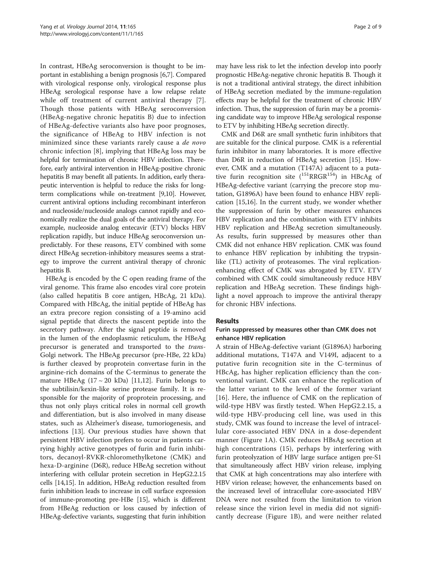In contrast, HBeAg seroconversion is thought to be important in establishing a benign prognosis [\[6,7\]](#page-7-0). Compared with virological response only, virological response plus HBeAg serological response have a low relapse relate while off treatment of current antiviral therapy [[7](#page-7-0)]. Though those patients with HBeAg seroconversion (HBeAg-negative chronic hepatitis B) due to infection of HBeAg-defective variants also have poor prognoses, the significance of HBeAg to HBV infection is not minimized since these variants rarely cause a de novo chronic infection [\[8](#page-7-0)], implying that HBeAg loss may be helpful for termination of chronic HBV infection. Therefore, early antiviral intervention in HBeAg-positive chronic hepatitis B may benefit all patients. In addition, early therapeutic intervention is helpful to reduce the risks for longterm complications while on-treatment [\[9,10](#page-7-0)]. However, current antiviral options including recombinant interferon and nucleoside/nucleoside analogs cannot rapidly and economically realize the dual goals of the antiviral therapy. For example, nucleoside analog entecavir (ETV) blocks HBV replication rapidly, but induce HBeAg seroconversion unpredictably. For these reasons, ETV combined with some direct HBeAg secretion-inhibitory measures seems a strategy to improve the current antiviral therapy of chronic hepatitis B.

HBeAg is encoded by the C open reading frame of the viral genome. This frame also encodes viral core protein (also called hepatitis B core antigen, HBcAg, 21 kDa). Compared with HBcAg, the initial peptide of HBeAg has an extra precore region consisting of a 19-amino acid signal peptide that directs the nascent peptide into the secretory pathway. After the signal peptide is removed in the lumen of the endoplasmic reticulum, the HBeAg precursor is generated and transported to the trans-Golgi network. The HBeAg precursor (pre-HBe, 22 kDa) is further cleaved by proprotein convertase furin in the arginine-rich domains of the C-terminus to generate the mature HBeAg  $(17 \sim 20 \text{ kDa})$  [[11](#page-7-0),[12](#page-7-0)]. Furin belongs to the subtilisin/kexin-like serine protease family. It is responsible for the majority of proprotein processing, and thus not only plays critical roles in normal cell growth and differentiation, but is also involved in many disease states, such as Alzheimer's disease, tumoriogenesis, and infections [[13](#page-7-0)]. Our previous studies have shown that persistent HBV infection prefers to occur in patients carrying highly active genotypes of furin and furin inhibitors, decanoyl-RVKR-chloromethylketone (CMK) and hexa-D-arginine (D6R), reduce HBeAg secretion without interfering with cellular protein secretion in HepG2.2.15 cells [[14,15\]](#page-7-0). In addition, HBeAg reduction resulted from furin inhibition leads to increase in cell surface expression of immune-promoting pre-HBe [\[15](#page-7-0)], which is different from HBeAg reduction or loss caused by infection of HBeAg-defective variants, suggesting that furin inhibition

may have less risk to let the infection develop into poorly prognostic HBeAg-negative chronic hepatitis B. Though it is not a traditional antiviral strategy, the direct inhibition of HBeAg secretion mediated by the immune-regulation effects may be helpful for the treatment of chronic HBV infection. Thus, the suppression of furin may be a promising candidate way to improve HBeAg serological response to ETV by inhibiting HBeAg secretion directly.

CMK and D6R are small synthetic furin inhibitors that are suitable for the clinical purpose. CMK is a referential furin inhibitor in many laboratories. It is more effective than D6R in reduction of HBeAg secretion [\[15\]](#page-7-0). However, CMK and a mutation (T147A) adjacent to a putative furin recognition site  $(^{151}RRGR^{154})$  in HBcAg of HBeAg-defective variant (carrying the precore stop mutation, G1896A) have been found to enhance HBV replication [\[15,16](#page-7-0)]. In the current study, we wonder whether the suppression of furin by other measures enhances HBV replication and the combination with ETV inhibits HBV replication and HBeAg secretion simultaneously. As results, furin suppressed by measures other than CMK did not enhance HBV replication. CMK was found to enhance HBV replication by inhibiting the trypsinlike (TL) activity of proteasomes. The viral replicationenhancing effect of CMK was abrogated by ETV. ETV combined with CMK could simultaneously reduce HBV replication and HBeAg secretion. These findings highlight a novel approach to improve the antiviral therapy for chronic HBV infections.

# **Results**

# Furin suppressed by measures other than CMK does not enhance HBV replication

A strain of HBeAg-defective variant (G1896A) harboring additional mutations, T147A and V149I, adjacent to a putative furin recognition site in the C-terminus of HBcAg, has higher replication efficiency than the conventional variant. CMK can enhance the replication of the latter variant to the level of the former variant [[16](#page-7-0)]. Here, the influence of CMK on the replication of wild-type HBV was firstly tested. When HepG2.2.15, a wild-type HBV-producing cell line, was used in this study, CMK was found to increase the level of intracellular core-associated HBV DNA in a dose-dependent manner (Figure [1A](#page-2-0)). CMK reduces HBsAg secretion at high concentrations (15), perhaps by interfering with furin proteolyzation of HBV large surface antigen pre-S1 that simultaneously affect HBV virion release, implying that CMK at high concentrations may also interfere with HBV virion release; however, the enhancements based on the increased level of intracellular core-associated HBV DNA were not resulted from the limitation to virion release since the virion level in media did not significantly decrease (Figure [1B](#page-2-0)), and were neither related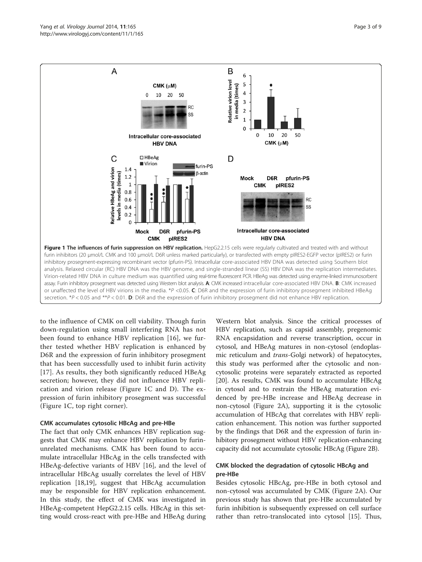<span id="page-2-0"></span>

to the influence of CMK on cell viability. Though furin down-regulation using small interfering RNA has not been found to enhance HBV replication [[16](#page-7-0)], we further tested whether HBV replication is enhanced by D6R and the expression of furin inhibitory prosegment that has been successfully used to inhibit furin activity [[17](#page-7-0)]. As results, they both significantly reduced HBeAg secretion; however, they did not influence HBV replication and virion release (Figure 1C and D). The expression of furin inhibitory prosegment was successful (Figure 1C, top right corner).

#### CMK accumulates cytosolic HBcAg and pre-HBe

The fact that only CMK enhances HBV replication suggests that CMK may enhance HBV replication by furinunrelated mechanisms. CMK has been found to accumulate intracellular HBcAg in the cells transfected with HBeAg-defective variants of HBV [\[16\]](#page-7-0), and the level of intracellular HBcAg usually correlates the level of HBV replication [\[18,19\]](#page-7-0), suggest that HBcAg accumulation may be responsible for HBV replication enhancement. In this study, the effect of CMK was investigated in HBeAg-competent HepG2.2.15 cells. HBcAg in this setting would cross-react with pre-HBe and HBeAg during

Western blot analysis. Since the critical processes of HBV replication, such as capsid assembly, pregenomic RNA encapsidation and reverse transcription, occur in cytosol, and HBeAg matures in non-cytosol (endoplasmic reticulum and trans-Golgi network) of hepatocytes, this study was performed after the cytosolic and noncytosolic proteins were separately extracted as reported [[20\]](#page-7-0). As results, CMK was found to accumulate HBcAg in cytosol and to restrain the HBeAg maturation evidenced by pre-HBe increase and HBeAg decrease in non-cytosol (Figure [2A](#page-3-0)), supporting it is the cytosolic accumulation of HBcAg that correlates with HBV replication enhancement. This notion was further supported by the findings that D6R and the expression of furin inhibitory prosegment without HBV replication-enhancing capacity did not accumulate cytosolic HBcAg (Figure [2](#page-3-0)B).

#### CMK blocked the degradation of cytosolic HBcAg and pre-HBe

Besides cytosolic HBcAg, pre-HBe in both cytosol and non-cytosol was accumulated by CMK (Figure [2](#page-3-0)A). Our previous study has shown that pre-HBe accumulated by furin inhibition is subsequently expressed on cell surface rather than retro-translocated into cytosol [\[15\]](#page-7-0). Thus,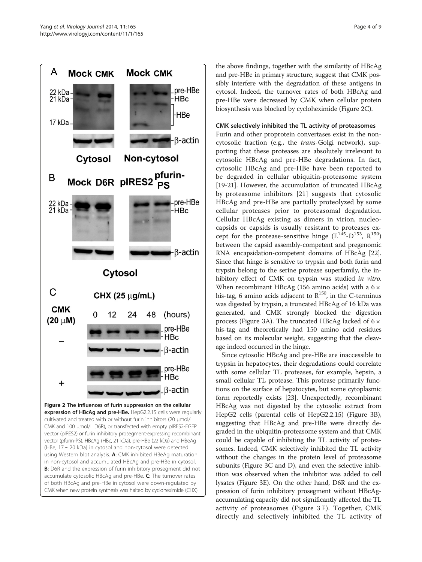<span id="page-3-0"></span>

B: D6R and the expression of furin inhibitory prosegment did not accumulate cytosolic HBcAg and pre-HBe. C: The turnover rates of both HBcAg and pre-HBe in cytosol were down-regulated by CMK when new protein synthesis was halted by cycloheximide (CHX).

the above findings, together with the similarity of HBcAg and pre-HBe in primary structure, suggest that CMK possibly interfere with the degradation of these antigens in cytosol. Indeed, the turnover rates of both HBcAg and pre-HBe were decreased by CMK when cellular protein biosynthesis was blocked by cycloheximide (Figure 2C).

# CMK selectively inhibited the TL activity of proteasomes

Furin and other proprotein convertases exist in the noncytosolic fraction (e.g., the trans-Golgi network), supporting that these proteases are absolutely irrelevant to cytosolic HBcAg and pre-HBe degradations. In fact, cytosolic HBcAg and pre-HBe have been reported to be degraded in cellular ubiquitin-proteasome system [[19](#page-7-0)-[21\]](#page-7-0). However, the accumulation of truncated HBcAg by proteasome inhibitors [[21\]](#page-7-0) suggests that cytosolic HBcAg and pre-HBe are partially proteolyzed by some cellular proteases prior to proteasomal degradation. Cellular HBcAg existing as dimers in virion, nucleocapsids or capsids is usually resistant to proteases except for the protease-sensitive hinge  $(E^{145} - D^{153}, R^{150})$ between the capsid assembly-competent and pregenomic RNA encapsidation-competent domains of HBcAg [[22](#page-8-0)]. Since that hinge is sensitive to trypsin and both furin and trypsin belong to the serine protease superfamily, the inhibitory effect of CMK on trypsin was studied in vitro. When recombinant HBcAg (156 amino acids) with a 6  $\times$ his-tag, 6 amino acids adjacent to  $R^{150}$ , in the C-terminus was digested by trypsin, a truncated HBcAg of 16 kDa was generated, and CMK strongly blocked the digestion process (Figure [3A](#page-4-0)). The truncated HBcAg lacked of  $6 \times$ his-tag and theoretically had 150 amino acid residues based on its molecular weight, suggesting that the cleavage indeed occurred in the hinge.

Since cytosolic HBcAg and pre-HBe are inaccessible to trypsin in hepatocytes, their degradations could correlate with some cellular TL proteases, for example, hepsin, a small cellular TL protease. This protease primarily functions on the surface of hepatocytes, but some cytoplasmic form reportedly exists [[23](#page-8-0)]. Unexpectedly, recombinant HBcAg was not digested by the cytosolic extract from HepG2 cells (parental cells of HepG2.2.15) (Figure [3B](#page-4-0)), suggesting that HBcAg and pre-HBe were directly degraded in the ubiquitin-proteasome system and that CMK could be capable of inhibiting the TL activity of proteasomes. Indeed, CMK selectively inhibited the TL activity without the changes in the protein level of proteasome subunits (Figure [3](#page-4-0)C and D), and even the selective inhibition was observed when the inhibitor was added to cell lysates (Figure [3](#page-4-0)E). On the other hand, D6R and the expression of furin inhibitory prosegment without HBcAgaccumulating capacity did not significantly affected the TL activity of proteasomes (Figure [3](#page-4-0) F). Together, CMK directly and selectively inhibited the TL activity of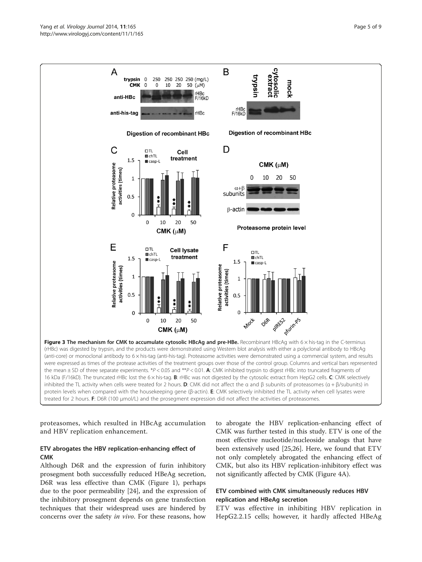<span id="page-4-0"></span>

proteasomes, which resulted in HBcAg accumulation and HBV replication enhancement.

#### ETV abrogates the HBV replication-enhancing effect of CMK

Although D6R and the expression of furin inhibitory prosegment both successfully reduced HBeAg secretion, D6R was less effective than CMK (Figure [1](#page-2-0)), perhaps due to the poor permeability [[24\]](#page-8-0), and the expression of the inhibitory prosegment depends on gene transfection techniques that their widespread uses are hindered by concerns over the safety in vivo. For these reasons, how

to abrogate the HBV replication-enhancing effect of CMK was further tested in this study. ETV is one of the most effective nucleotide/nucleoside analogs that have been extensively used [\[25,26\]](#page-8-0). Here, we found that ETV not only completely abrogated the enhancing effect of CMK, but also its HBV replication-inhibitory effect was not significantly affected by CMK (Figure [4](#page-5-0)A).

# ETV combined with CMK simultaneously reduces HBV replication and HBeAg secretion

ETV was effective in inhibiting HBV replication in HepG2.2.15 cells; however, it hardly affected HBeAg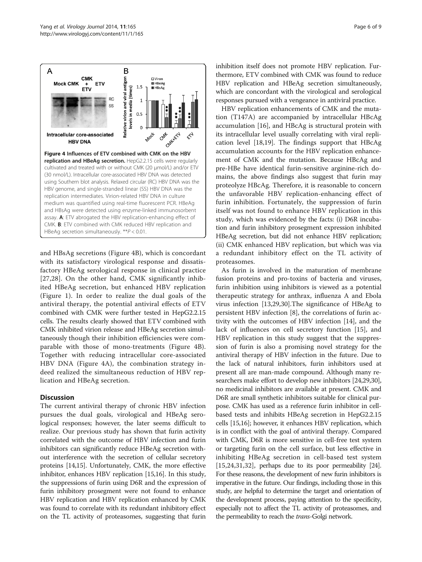<span id="page-5-0"></span>

and HBsAg secretions (Figure 4B), which is concordant with its satisfactory virological response and dissatisfactory HBeAg serological response in clinical practice [[27,28\]](#page-8-0). On the other hand, CMK significantly inhibited HBeAg secretion, but enhanced HBV replication (Figure [1\)](#page-2-0). In order to realize the dual goals of the antiviral therapy, the potential antiviral effects of ETV combined with CMK were further tested in HepG2.2.15 cells. The results clearly showed that ETV combined with CMK inhibited virion release and HBeAg secretion simultaneously though their inhibition efficiencies were comparable with those of mono-treatments (Figure 4B). Together with reducing intracellular core-associated HBV DNA (Figure 4A), the combination strategy indeed realized the simultaneous reduction of HBV replication and HBeAg secretion.

# **Discussion**

The current antiviral therapy of chronic HBV infection pursues the dual goals, virological and HBeAg serological responses; however, the later seems difficult to realize. Our previous study has shown that furin activity correlated with the outcome of HBV infection and furin inhibitors can significantly reduce HBeAg secretion without interference with the secretion of cellular secretory proteins [\[14,15\]](#page-7-0). Unfortunately, CMK, the more effective inhibitor, enhances HBV replication [[15](#page-7-0),[16](#page-7-0)]. In this study, the suppressions of furin using D6R and the expression of furin inhibitory prosegment were not found to enhance HBV replication and HBV replication enhanced by CMK was found to correlate with its redundant inhibitory effect on the TL activity of proteasomes, suggesting that furin inhibition itself does not promote HBV replication. Furthermore, ETV combined with CMK was found to reduce HBV replication and HBeAg secretion simultaneously, which are concordant with the virological and serological responses pursued with a vengeance in antiviral practice.

HBV replication enhancements of CMK and the mutation (T147A) are accompanied by intracellular HBcAg accumulation [\[16](#page-7-0)], and HBcAg is structural protein with its intracellular level usually correlating with viral replication level [\[18,19\]](#page-7-0). The findings support that HBcAg accumulation accounts for the HBV replication enhancement of CMK and the mutation. Because HBcAg and pre-HBe have identical furin-sensitive arginine-rich domains, the above findings also suggest that furin may proteolyze HBcAg. Therefore, it is reasonable to concern the unfavorable HBV replication-enhancing effect of furin inhibition. Fortunately, the suppression of furin itself was not found to enhance HBV replication in this study, which was evidenced by the facts: (i) D6R incubation and furin inhibitory prosegment expression inhibited HBeAg secretion, but did not enhance HBV replication; (ii) CMK enhanced HBV replication, but which was via a redundant inhibitory effect on the TL activity of proteasomes.

As furin is involved in the maturation of membrane fusion proteins and pro-toxins of bacteria and viruses, furin inhibition using inhibitors is viewed as a potential therapeutic strategy for anthrax, influenza A and Ebola virus infection [[13](#page-7-0)[,29,30](#page-8-0)].The significance of HBeAg to persistent HBV infection [\[8](#page-7-0)], the correlations of furin activity with the outcomes of HBV infection [\[14](#page-7-0)], and the lack of influences on cell secretory function [\[15](#page-7-0)], and HBV replication in this study suggest that the suppression of furin is also a promising novel strategy for the antiviral therapy of HBV infection in the future. Due to the lack of natural inhibitors, furin inhibitors used at present all are man-made compound. Although many researchers make effort to develop new inhibitors [\[24,29,30](#page-8-0)], no medicinal inhibitors are available at present. CMK and D6R are small synthetic inhibitors suitable for clinical purpose. CMK has used as a reference furin inhibitor in cellbased tests and inhibits HBeAg secretion in HepG2.2.15 cells [\[15,16](#page-7-0)]; however, it enhances HBV replication, which is in conflict with the goal of antiviral therapy. Compared with CMK, D6R is more sensitive in cell-free test system or targeting furin on the cell surface, but less effective in inhibiting HBeAg secretion in cell-based test system [[15](#page-7-0)[,24,31,32](#page-8-0)], perhaps due to its poor permeability [\[24\]](#page-8-0). For these reasons, the development of new furin inhibitors is imperative in the future. Our findings, including those in this study, are helpful to determine the target and orientation of the development process, paying attention to the specificity, especially not to affect the TL activity of proteasomes, and the permeability to reach the trans-Golgi network.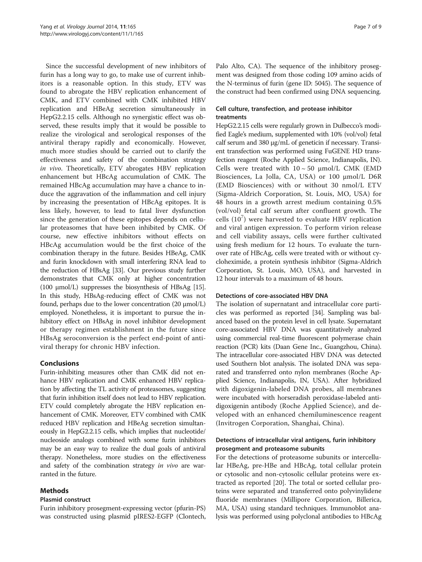Since the successful development of new inhibitors of furin has a long way to go, to make use of current inhibitors is a reasonable option. In this study, ETV was found to abrogate the HBV replication enhancement of CMK, and ETV combined with CMK inhibited HBV replication and HBeAg secretion simultaneously in HepG2.2.15 cells. Although no synergistic effect was observed, these results imply that it would be possible to realize the virological and serological responses of the antiviral therapy rapidly and economically. However, much more studies should be carried out to clarify the effectiveness and safety of the combination strategy in vivo. Theoretically, ETV abrogates HBV replication enhancement but HBcAg accumulation of CMK. The remained HBcAg accumulation may have a chance to induce the aggravation of the inflammation and cell injury by increasing the presentation of HBcAg epitopes. It is less likely, however, to lead to fatal liver dysfunction since the generation of these epitopes depends on cellular proteasomes that have been inhibited by CMK. Of course, new effective inhibitors without effects on HBcAg accumulation would be the first choice of the combination therapy in the future. Besides HBeAg, CMK and furin knockdown with small interfering RNA lead to the reduction of HBsAg [[33](#page-8-0)]. Our previous study further demonstrates that CMK only at higher concentration (100 μmol/L) suppresses the biosynthesis of HBsAg [\[15](#page-7-0)]. In this study, HBsAg-reducing effect of CMK was not found, perhaps due to the lower concentration (20 μmol/L) employed. Nonetheless, it is important to pursue the inhibitory effect on HBsAg in novel inhibitor development or therapy regimen establishment in the future since HBsAg seroconversion is the perfect end-point of antiviral therapy for chronic HBV infection.

# Conclusions

Furin-inhibiting measures other than CMK did not enhance HBV replication and CMK enhanced HBV replication by affecting the TL activity of proteasomes, suggesting that furin inhibition itself does not lead to HBV replication. ETV could completely abrogate the HBV replication enhancement of CMK. Moreover, ETV combined with CMK reduced HBV replication and HBeAg secretion simultaneously in HepG2.2.15 cells, which implies that nucleotide/ nucleoside analogs combined with some furin inhibitors may be an easy way to realize the dual goals of antiviral therapy. Nonetheless, more studies on the effectiveness and safety of the combination strategy in vivo are warranted in the future.

# Methods

### Plasmid construct

Furin inhibitory prosegment-expressing vector (pfurin-PS) was constructed using plasmid pIRES2-EGFP (Clontech, Palo Alto, CA). The sequence of the inhibitory prosegment was designed from those coding 109 amino acids of the N-terminus of furin (gene ID: 5045). The sequence of the construct had been confirmed using DNA sequencing.

# Cell culture, transfection, and protease inhibitor treatments

HepG2.2.15 cells were regularly grown in Dulbecco's modified Eagle's medium, supplemented with 10% (vol/vol) fetal calf serum and 380 μg/mL of geneticin if necessary. Transient transfection was performed using FuGENE HD transfection reagent (Roche Applied Science, Indianapolis, IN). Cells were treated with  $10 \sim 50$  µmol/L CMK (EMD) Biosciences, La Jolla, CA, USA) or 100 μmol/L D6R (EMD Biosciences) with or without 30 nmol/L ETV (Sigma-Aldrich Corporation, St. Louis, MO, USA) for 48 hours in a growth arrest medium containing 0.5% (vol/vol) fetal calf serum after confluent growth. The cells  $(10^7)$  were harvested to evaluate HBV replication and viral antigen expression. To perform virion release and cell viability assays, cells were further cultivated using fresh medium for 12 hours. To evaluate the turnover rate of HBcAg, cells were treated with or without cycloheximide, a protein synthesis inhibitor (Sigma-Aldrich Corporation, St. Louis, MO, USA), and harvested in 12 hour intervals to a maximum of 48 hours.

### Detections of core-associated HBV DNA

The isolation of supernatant and intracellular core particles was performed as reported [[34](#page-8-0)]. Sampling was balanced based on the protein level in cell lysate. Supernatant core-associated HBV DNA was quantitatively analyzed using commercial real-time fluorescent polymerase chain reaction (PCR) kits (Daan Gene Inc., Guangzhou, China). The intracellular core-associated HBV DNA was detected used Southern blot analysis. The isolated DNA was separated and transferred onto nylon membranes (Roche Applied Science, Indianapolis, IN, USA). After hybridized with digoxigenin-labeled DNA probes, all membranes were incubated with horseradish peroxidase-labeled antidigoxigenin antibody (Roche Applied Science), and developed with an enhanced chemiluminescence reagent (Invitrogen Corporation, Shanghai, China).

### Detections of intracellular viral antigens, furin inhibitory prosegment and proteasome subunits

For the detections of proteasome subunits or intercellular HBeAg, pre-HBe and HBcAg, total cellular protein or cytosolic and non-cytosolic cellular proteins were extracted as reported [[20\]](#page-7-0). The total or sorted cellular proteins were separated and transferred onto polyvinylidene fluoride membranes (Millipore Corporation, Billerica, MA, USA) using standard techniques. Immunoblot analysis was performed using polyclonal antibodies to HBcAg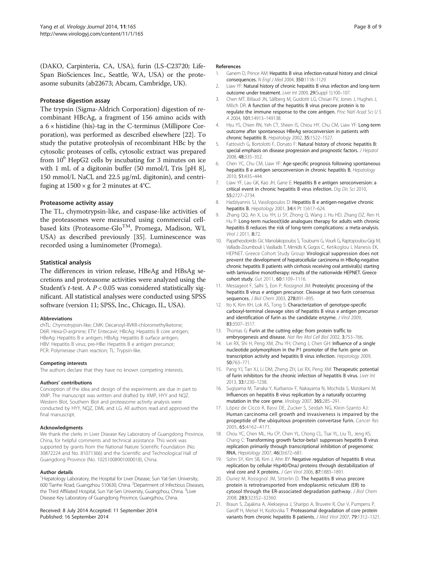<span id="page-7-0"></span>(DAKO, Carpinteria, CA, USA), furin (LS-C23720; Life-Span BioSciences Inc., Seattle, WA, USA) or the proteasome subunits (ab22673; Abcam, Cambridge, UK).

#### Protease digestion assay

The trypsin (Sigma-Aldrich Corporation) digestion of recombinant HBcAg, a fragment of 156 amino acids with a 6 × histidine (his)-tag in the C-terminus (Millipore Corporation), was performed as described elsewhere [[22](#page-8-0)]. To study the putative proteolysis of recombinant HBc by the cytosolic proteases of cells, cytosolic extract was prepared from  $10^6$  HepG2 cells by incubating for 3 minutes on ice with 1 mL of a digitonin buffer (50 mmol/L Tris [pH 8], 150 mmol/L NaCl, and 22.5 μg/mL digitonin), and centrifuging at  $1500 \times g$  for 2 minutes at 4°C.

#### Proteasome activity assay

The TL, chymotrypsin-like, and caspase-like activities of the proteasomes were measured using commercial cellbased kits (Proteasome-Glo<sup>TM</sup>, Promega, Madison, WI, USA) as described previously [[35](#page-8-0)]. Luminescence was recorded using a luminometer (Promega).

#### Statistical analysis

The differences in virion release, HBeAg and HBsAg secretions and proteasome activities were analyzed using the Student's *t*-test. A  $P < 0.05$  was considered statistically significant. All statistical analyses were conducted using SPSS software (version 11; SPSS, Inc., Chicago, IL, USA).

#### Abbreviations

chTL: Chymotrypsin-like; CMK: Decanoyl-RVKR-chloromethylketone; D6R: Hexa-D-arginine; ETV: Entecavir; HBcAg: Hepatitis B core antigen; HBeAg: Hepatitis B e antigen; HBsAg: Hepatitis B surface antigen; HBV: Hepatitis B virus; pre-HBe: Hepatitis B e antigen precursor; PCR: Polymerase chain reaction; TL: Trypsin-like.

#### Competing interests

The authors declare that they have no known competing interests.

#### Authors' contributions

Conception of the idea and design of the experiments are due in part to XMP. The manuscript was written and drafted by XMP, HYY and NQZ. Western Blot, Southern Blot and proteasome activity analysis were conducted by HYY, NQZ, DML and LG. All authors read and approved the final manuscript.

#### Acknowledgments

We thank the clerks in Liver Disease Key Laboratory of Guangdong Province, China, for helpful comments and technical assistance. This work was supported by grants from the National Nature Scientific Foundation (No. 30872224 and No. 81071366) and the Scientific and Technological Hall of Guangdong Province (No. 10251008901000018), China.

#### Author details

<sup>1</sup> Hepatology Laboratory, the Hospital for Liver Disease, Sun Yat-Sen University, 600 Tianhe Road, Guangzhou 510630, China. <sup>2</sup>Department of Infectious Diseases, the Third Affiliated Hospital, Sun Yat-Sen University, Guangzhou, China. <sup>3</sup>Liver Disease Key Laboratory of Guangdong Province, Guangzhou, China.

Received: 8 July 2014 Accepted: 11 September 2014 Published: 16 September 2014

#### References

- 1. Ganem D, Prince AM: Hepatitis B virus infection-natural history and clinical consequences. N Engl J Med 2004, 350:1118–1129.
- 2. Liaw YF: Natural history of chronic hepatitis B virus infection and long-term outcome under treatment. Liver Int 2009, 29(Suppl 1):100–107.
- 3. Chen MT, Billaud JN, Sällberg M, Guidotti LG, Chisari FV, Jones J, Hughes J, Milich DR: A function of the hepatitis B virus precore protein is to regulate the immune response to the core antigen. Proc Natl Acad Sci U S A 2004, 101:14913–149138.
- 4. Hsu YS, Chien RN, Yeh CT, Sheen IS, Chiou HY, Chu CM, Liaw YF: Long-term outcome after spontaneous HBeAg seroconversion in patients with chronic hepatitis B. Hepatology 2002, 35:1522–1527.
- Fattovich G, Bortolotti F, Donato F: Natural history of chronic hepatitis B: special emphasis on disease progression and prognostic factors. J Hepatol 2008, 48:335–352.
- 6. Chen YC, Chu CM, Liaw YF: Age-specific prognosis following spontaneous hepatitis B e antigen seroconversion in chronic hepatitis B. Hepatology 2010, 51:435–444.
- 7. Liaw YF, Lau GK, Kao JH, Gane E: Hepatitis B e antigen seroconversion: a critical event in chronic hepatitis B virus infection. Dig Dis Sci 2010, 55:2727–2734.
- 8. Hadziyannis SJ, Vassilopoulos D: Hepatitis B e antigen-negative chronic hepatitis B. Hepatology 2001, 34(4 Pt 1):617–624.
- 9. Zhang QQ, An X, Liu YH, Li SY, Zhong Q, Wang J, Hu HD, Zhang DZ, Ren H, Hu P: Long-term nucleos(t)ide analogues therapy for adults with chronic hepatitis B reduces the risk of long-term complications: a meta-analysis. Virol J 2011, 8:72.
- 10. Papatheodoridis GV, Manolakopoulos S, Touloumi G, Vourli G, Raptopoulou-Gigi M, Vafiadis-Zoumbouli I, Vasiliadis T, Mimidis K, Gogos C, Ketikoglou I, Manesis EK, HEPNET. Greece Cohort Study Group: Virological suppression does not prevent the development of hepatocellular carcinoma in HBeAg-negative chronic hepatitis B patients with cirrhosis receiving oral antiviral(s) starting with lamivudine monotherapy: results of the nationwide HEPNET. Greece cohort study. Gut 2011, 60:1109–1116.
- 11. Messageot F, Salhi S, Eon P, Rossignol JM: Proteolytic processing of the hepatitis B virus e antigen precursor. Cleavage at two furin consensus sequences. *J Biol Chem 2003*, 278:891-895.
- 12. Ito K, Kim KH, Lok AS, Tong S: Characterization of genotype-specific carboxyl-terminal cleavage sites of hepatitis B virus e antigen precursor and identification of furin as the candidate enzyme. J Virol 2009, 83:3507–3517.
- 13. Thomas G: Furin at the cutting edge: from protein traffic to embryogenesis and disease. Nat Rev Mol Cell Biol 2002, 3:753–766.
- 14. Lei RX, Shi H, Peng XM, Zhu YH, Cheng J, Chen GH: Influence of a single nucleotide polymorphism in the P1 promoter of the furin gene on transcription activity and hepatitis B virus infection. Hepatology 2009, 50:763–771.
- 15. Pang YJ, Tan XJ, Li DM, Zheng ZH, Lei RX, Peng XM: Therapeutic potential of furin inhibitors for the chronic infection of hepatitis B virus. Liver Int 2013, 33:1230–1238.
- 16. Sugiyama M, Tanaka Y, Kurbanov F, Nakayama N, Mochida S, Mizokami M: Influences on hepatitis B virus replication by a naturally occurring mutation in the core gene. Virology 2007, 365:285–291.
- 17. López de Cicco R, Bassi DE, Zucker S, Seidah NG, Klein-Szanto AJ: Human carcinoma cell growth and invasiveness is impaired by the propeptide of the ubiquitous proprotein convertase furin. Cancer Res 2005, 65:4162–4171.
- 18. Chou YC, Chen ML, Hu CP, Chen YL, Chong CL, Tsai YL, Liu TL, Jeng KS, Chang C: Transforming growth factor-beta1 suppresses hepatitis B virus replication primarily through transcriptional inhibition of pregenomic RNA. Hepatology 2007, 46(3):672–681.
- 19. Sohn SY, Kim SB, Kim J, Ahn BY: Negative regulation of hepatitis B virus replication by cellular Hsp40/DnaJ proteins through destabilization of viral core and X proteins. J Gen Virol 2006, 87:1883–1891.
- 20. Duriez M, Rossignol JM, Sitterlin D: The hepatitis B virus precore protein is retrotransported from endoplasmic reticulum (ER) to cytosol through the ER-associated degradation pathway. J Biol Chem 2008, 283:32352–32360.
- 21. Braun S, Zajakina A, Aleksejeva J, Sharipo A, Bruvere R, Ose V, Pumpens P, Garoff H, Meisel H, Kozlovska T: Proteasomal degradation of core protein variants from chronic hepatitis B patients. J Med Virol 2007, 79:1312–1321.